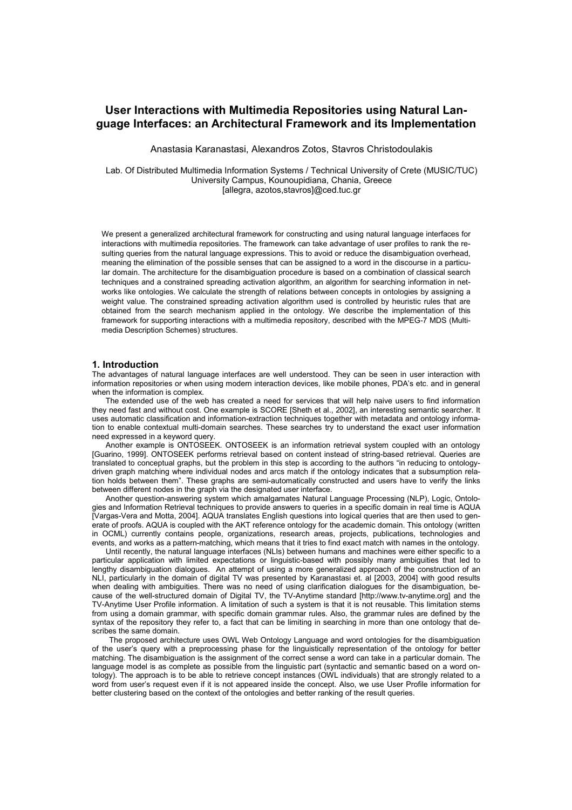# **User Interactions with Multimedia Repositories using Natural Language Interfaces: an Architectural Framework and its Implementation**

Anastasia Karanastasi, Alexandros Zotos, Stavros Christodoulakis

Lab. Of Distributed Multimedia Information Systems / Technical University of Crete (MUSIC/TUC) University Campus, Kounoupidiana, Chania, Greece [allegra, azotos,stavros]@ced.tuc.gr

We present a generalized architectural framework for constructing and using natural language interfaces for interactions with multimedia repositories. The framework can take advantage of user profiles to rank the resulting queries from the natural language expressions. This to avoid or reduce the disambiguation overhead, meaning the elimination of the possible senses that can be assigned to a word in the discourse in a particular domain. The architecture for the disambiguation procedure is based on a combination of classical search techniques and a constrained spreading activation algorithm, an algorithm for searching information in networks like ontologies. We calculate the strength of relations between concepts in ontologies by assigning a weight value. The constrained spreading activation algorithm used is controlled by heuristic rules that are obtained from the search mechanism applied in the ontology. We describe the implementation of this framework for supporting interactions with a multimedia repository, described with the MPEG-7 MDS (Multimedia Description Schemes) structures.

## **1. Introduction**

The advantages of natural language interfaces are well understood. They can be seen in user interaction with information repositories or when using modern interaction devices, like mobile phones, PDA's etc. and in general when the information is complex.

The extended use of the web has created a need for services that will help naive users to find information they need fast and without cost. One example is SCORE [Sheth et al., 2002], an interesting semantic searcher. It uses automatic classification and information-extraction techniques together with metadata and ontology information to enable contextual multi-domain searches. These searches try to understand the exact user information need expressed in a keyword query.

Another example is ONTOSEEK. ONTOSEEK is an information retrieval system coupled with an ontology [Guarino, 1999]. ONTOSEEK performs retrieval based on content instead of string-based retrieval. Queries are translated to conceptual graphs, but the problem in this step is according to the authors "in reducing to ontologydriven graph matching where individual nodes and arcs match if the ontology indicates that a subsumption relation holds between them". These graphs are semi-automatically constructed and users have to verify the links between different nodes in the graph via the designated user interface.

Another question-answering system which amalgamates Natural Language Processing (NLP), Logic, Ontologies and Information Retrieval techniques to provide answers to queries in a specific domain in real time is AQUA [Vargas-Vera and Motta, 2004]. AQUA translates English questions into logical queries that are then used to generate of proofs. AQUA is coupled with the AKT reference ontology for the academic domain. This ontology (written in OCML) currently contains people, organizations, research areas, projects, publications, technologies and events, and works as a pattern-matching, which means that it tries to find exact match with names in the ontology.

Until recently, the natural language interfaces (NLIs) between humans and machines were either specific to a particular application with limited expectations or linguistic-based with possibly many ambiguities that led to lengthy disambiguation dialogues. An attempt of using a more generalized approach of the construction of an NLI, particularly in the domain of digital TV was presented by Karanastasi et. al [2003, 2004] with good results when dealing with ambiguities. There was no need of using clarification dialogues for the disambiguation, because of the well-structured domain of Digital TV, the TV-Anytime standard [http://www.tv-anytime.org] and the TV-Anytime User Profile information. A limitation of such a system is that it is not reusable. This limitation stems from using a domain grammar, with specific domain grammar rules. Also, the grammar rules are defined by the syntax of the repository they refer to, a fact that can be limiting in searching in more than one ontology that describes the same domain.

The proposed architecture uses OWL Web Ontology Language and word ontologies for the disambiguation of the user's query with a preprocessing phase for the linguistically representation of the ontology for better matching. The disambiguation is the assignment of the correct sense a word can take in a particular domain. The language model is as complete as possible from the linguistic part (syntactic and semantic based on a word ontology). The approach is to be able to retrieve concept instances (OWL individuals) that are strongly related to a word from user's request even if it is not appeared inside the concept. Also, we use User Profile information for better clustering based on the context of the ontologies and better ranking of the result queries.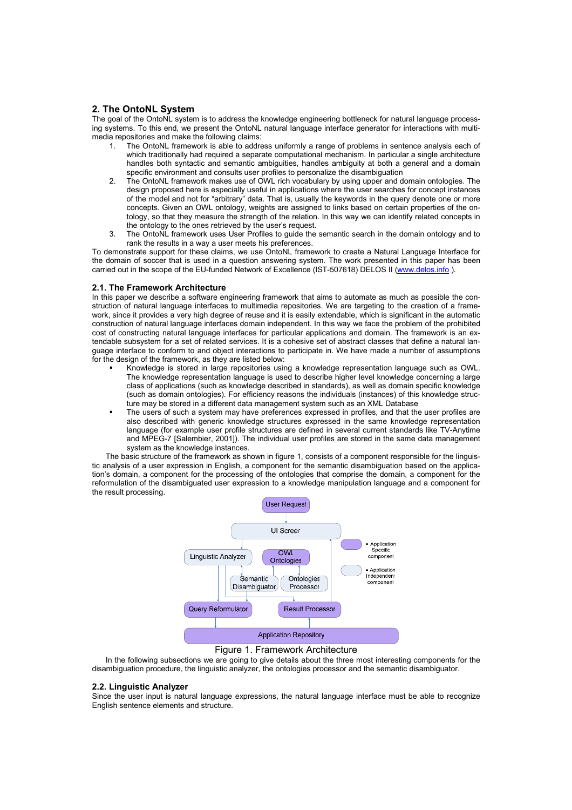# **2. The OntoNL System**

The goal of the OntoNL system is to address the knowledge engineering bottleneck for natural language processing systems. To this end, we present the OntoNL natural language interface generator for interactions with multimedia repositories and make the following claims:

- The OntoNL framework is able to address uniformly a range of problems in sentence analysis each of which traditionally had required a separate computational mechanism. In particular a single architecture handles both syntactic and semantic ambiguities, handles ambiguity at both a general and a domain specific environment and consults user profiles to personalize the disambiguation
- 2. The OntoNL framework makes use of OWL rich vocabulary by using upper and domain ontologies. The design proposed here is especially useful in applications where the user searches for concept instances of the model and not for "arbitrary" data. That is, usually the keywords in the query denote one or more concepts. Given an OWL ontology, weights are assigned to links based on certain properties of the ontology, so that they measure the strength of the relation. In this way we can identify related concepts in the ontology to the ones retrieved by the user's request.
- 3. The OntoNL framework uses User Profiles to guide the semantic search in the domain ontology and to rank the results in a way a user meets his preferences.

To demonstrate support for these claims, we use OntoNL framework to create a Natural Language Interface for the domain of soccer that is used in a question answering system. The work presented in this paper has been carried out in the scope of the EU-funded Network of Excellence (IST-507618) DELOS II (www.delos.info ).

# **2.1. The Framework Architecture**

In this paper we describe a software engineering framework that aims to automate as much as possible the construction of natural language interfaces to multimedia repositories. We are targeting to the creation of a framework, since it provides a very high degree of reuse and it is easily extendable, which is significant in the automatic construction of natural language interfaces domain independent. In this way we face the problem of the prohibited cost of constructing natural language interfaces for particular applications and domain. The framework is an extendable subsystem for a set of related services. It is a cohesive set of abstract classes that define a natural language interface to conform to and object interactions to participate in. We have made a number of assumptions for the design of the framework, as they are listed below:

- Knowledge is stored in large repositories using a knowledge representation language such as OWL. The knowledge representation language is used to describe higher level knowledge concerning a large class of applications (such as knowledge described in standards), as well as domain specific knowledge (such as domain ontologies). For efficiency reasons the individuals (instances) of this knowledge structure may be stored in a different data management system such as an XML Database
- The users of such a system may have preferences expressed in profiles, and that the user profiles are also described with generic knowledge structures expressed in the same knowledge representation language (for example user profile structures are defined in several current standards like TV-Anytime and MPEG-7 [Salembier, 2001]). The individual user profiles are stored in the same data management system as the knowledge instances.

The basic structure of the framework as shown in figure 1, consists of a component responsible for the linguistic analysis of a user expression in English, a component for the semantic disambiguation based on the application's domain, a component for the processing of the ontologies that comprise the domain, a component for the reformulation of the disambiguated user expression to a knowledge manipulation language and a component for the result processing.



# Figure 1. Framework Architecture

In the following subsections we are going to give details about the three most interesting components for the disambiguation procedure, the linguistic analyzer, the ontologies processor and the semantic disambiguator.

## **2.2. Linguistic Analyzer**

Since the user input is natural language expressions, the natural language interface must be able to recognize English sentence elements and structure.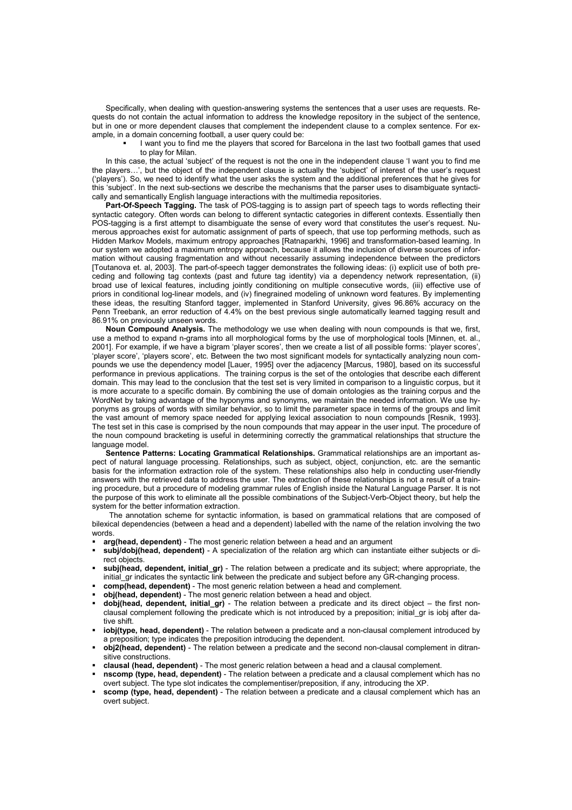Specifically, when dealing with question-answering systems the sentences that a user uses are requests. Requests do not contain the actual information to address the knowledge repository in the subject of the sentence, but in one or more dependent clauses that complement the independent clause to a complex sentence. For example, in a domain concerning football, a user query could be:

 I want you to find me the players that scored for Barcelona in the last two football games that used to play for Milan.

In this case, the actual 'subject' of the request is not the one in the independent clause 'I want you to find me the players…', but the object of the independent clause is actually the 'subject' of interest of the user's request ('players'). So, we need to identify what the user asks the system and the additional preferences that he gives for this 'subject'. In the next sub-sections we describe the mechanisms that the parser uses to disambiguate syntactically and semantically English language interactions with the multimedia repositories.

**Part-Of-Speech Tagging.** The task of POS-tagging is to assign part of speech tags to words reflecting their syntactic category. Often words can belong to different syntactic categories in different contexts. Essentially then POS-tagging is a first attempt to disambiguate the sense of every word that constitutes the user's request. Numerous approaches exist for automatic assignment of parts of speech, that use top performing methods, such as Hidden Markov Models, maximum entropy approaches [Ratnaparkhi, 1996] and transformation-based learning. In our system we adopted a maximum entropy approach, because it allows the inclusion of diverse sources of information without causing fragmentation and without necessarily assuming independence between the predictors [Toutanova et. al, 2003]. The part-of-speech tagger demonstrates the following ideas: (i) explicit use of both preceding and following tag contexts (past and future tag identity) via a dependency network representation, (ii) broad use of lexical features, including jointly conditioning on multiple consecutive words, (iii) effective use of priors in conditional log-linear models, and (iv) finegrained modeling of unknown word features. By implementing these ideas, the resulting Stanford tagger, implemented in Stanford University, gives 96.86% accuracy on the Penn Treebank, an error reduction of 4.4% on the best previous single automatically learned tagging result and 86.91% on previously unseen words.

**Noun Compound Analysis.** The methodology we use when dealing with noun compounds is that we, first, use a method to expand n-grams into all morphological forms by the use of morphological tools [Minnen, et. al., 2001]. For example, if we have a bigram 'player scores', then we create a list of all possible forms: 'player scores', 'player score', 'players score', etc. Between the two most significant models for syntactically analyzing noun compounds we use the dependency model [Lauer, 1995] over the adjacency [Marcus, 1980], based on its successful performance in previous applications. The training corpus is the set of the ontologies that describe each different domain. This may lead to the conclusion that the test set is very limited in comparison to a linguistic corpus, but it is more accurate to a specific domain. By combining the use of domain ontologies as the training corpus and the WordNet by taking advantage of the hyponyms and synonyms, we maintain the needed information. We use hyponyms as groups of words with similar behavior, so to limit the parameter space in terms of the groups and limit the vast amount of memory space needed for applying lexical association to noun compounds [Resnik, 1993]. The test set in this case is comprised by the noun compounds that may appear in the user input. The procedure of the noun compound bracketing is useful in determining correctly the grammatical relationships that structure the language model.

**Sentence Patterns: Locating Grammatical Relationships.** Grammatical relationships are an important aspect of natural language processing. Relationships, such as subject, object, conjunction, etc. are the semantic basis for the information extraction role of the system. These relationships also help in conducting user-friendly answers with the retrieved data to address the user. The extraction of these relationships is not a result of a training procedure, but a procedure of modeling grammar rules of English inside the Natural Language Parser. It is not the purpose of this work to eliminate all the possible combinations of the Subject-Verb-Object theory, but help the system for the better information extraction.

The annotation scheme for syntactic information, is based on grammatical relations that are composed of bilexical dependencies (between a head and a dependent) labelled with the name of the relation involving the two words.

- **arg(head, dependent)** The most generic relation between a head and an argument
- **subj/dobj(head, dependent)** A specialization of the relation arg which can instantiate either subjects or direct objects.
- **subj(head, dependent, initial\_gr)** The relation between a predicate and its subject; where appropriate, the initial gr indicates the syntactic link between the predicate and subject before any GR-changing process.
- **comp(head, dependent)** The most generic relation between a head and complement.
- **obj(head, dependent)**  The most generic relation between a head and object.
- **dobj(head, dependent, initial\_gr)** The relation between a predicate and its direct object the first nonclausal complement following the predicate which is not introduced by a preposition; initial\_gr is iobj after dative shift.
- **iobj(type, head, dependent)** The relation between a predicate and a non-clausal complement introduced by a preposition; type indicates the preposition introducing the dependent.
- **obj2(head, dependent)** The relation between a predicate and the second non-clausal complement in ditransitive constructions.
- **clausal (head, dependent)** The most generic relation between a head and a clausal complement.
- **nscomp (type, head, dependent)** The relation between a predicate and a clausal complement which has no overt subject. The type slot indicates the complementiser/preposition, if any, introducing the XP.
- **scomp (type, head, dependent)** The relation between a predicate and a clausal complement which has an overt subject.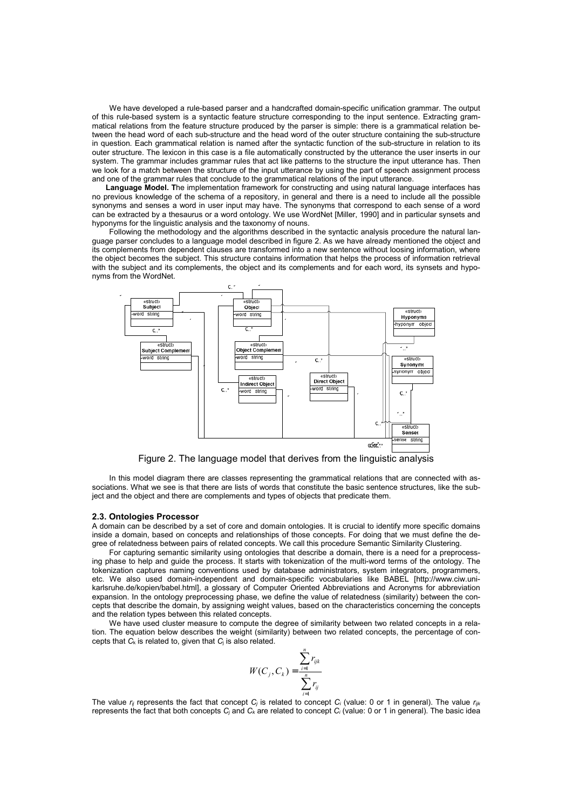We have developed a rule-based parser and a handcrafted domain-specific unification grammar. The output of this rule-based system is a syntactic feature structure corresponding to the input sentence. Extracting grammatical relations from the feature structure produced by the parser is simple: there is a grammatical relation between the head word of each sub-structure and the head word of the outer structure containing the sub-structure in question. Each grammatical relation is named after the syntactic function of the sub-structure in relation to its outer structure. The lexicon in this case is a file automatically constructed by the utterance the user inserts in our system. The grammar includes grammar rules that act like patterns to the structure the input utterance has. Then we look for a match between the structure of the input utterance by using the part of speech assignment process and one of the grammar rules that conclude to the grammatical relations of the input utterance.

**Language Model. T**he implementation framework for constructing and using natural language interfaces has no previous knowledge of the schema of a repository, in general and there is a need to include all the possible synonyms and senses a word in user input may have. The synonyms that correspond to each sense of a word can be extracted by a thesaurus or a word ontology. We use WordNet [Miller, 1990] and in particular synsets and hyponyms for the linguistic analysis and the taxonomy of nouns.

Following the methodology and the algorithms described in the syntactic analysis procedure the natural language parser concludes to a language model described in figure 2. As we have already mentioned the object and its complements from dependent clauses are transformed into a new sentence without loosing information, where the object becomes the subject. This structure contains information that helps the process of information retrieval with the subject and its complements, the object and its complements and for each word, its synsets and hyponyms from the WordNet.



Figure 2. The language model that derives from the linguistic analysis

In this model diagram there are classes representing the grammatical relations that are connected with associations. What we see is that there are lists of words that constitute the basic sentence structures, like the subject and the object and there are complements and types of objects that predicate them.

#### **2.3. Ontologies Processor**

A domain can be described by a set of core and domain ontologies. It is crucial to identify more specific domains inside a domain, based on concepts and relationships of those concepts. For doing that we must define the degree of relatedness between pairs of related concepts. We call this procedure Semantic Similarity Clustering.

For capturing semantic similarity using ontologies that describe a domain, there is a need for a preprocessing phase to help and guide the process. It starts with tokenization of the multi-word terms of the ontology. The tokenization captures naming conventions used by database administrators, system integrators, programmers, etc. We also used domain-independent and domain-specific vocabularies like BABEL [http://www.ciw.unikarlsruhe.de/kopien/babel.html], a glossary of Computer Oriented Abbreviations and Acronyms for abbreviation expansion. In the ontology preprocessing phase, we define the value of relatedness (similarity) between the concepts that describe the domain, by assigning weight values, based on the characteristics concerning the concepts and the relation types between this related concepts.

We have used cluster measure to compute the degree of similarity between two related concepts in a relation. The equation below describes the weight (similarity) between two related concepts, the percentage of concepts that  $C_k$  is related to, given that  $C_i$  is also related.

$$
W(C_j, C_k) = \frac{\sum_{i=1}^n r_{ijk}}{\sum_{i=1}^n r_{ij}}
$$

The value  $r_{ii}$  represents the fact that concept  $C_i$  is related to concept  $C_i$  (value: 0 or 1 in general). The value  $r_{iik}$ represents the fact that both concepts *Cj* and *Ck* are related to concept *Ci* (value: 0 or 1 in general). The basic idea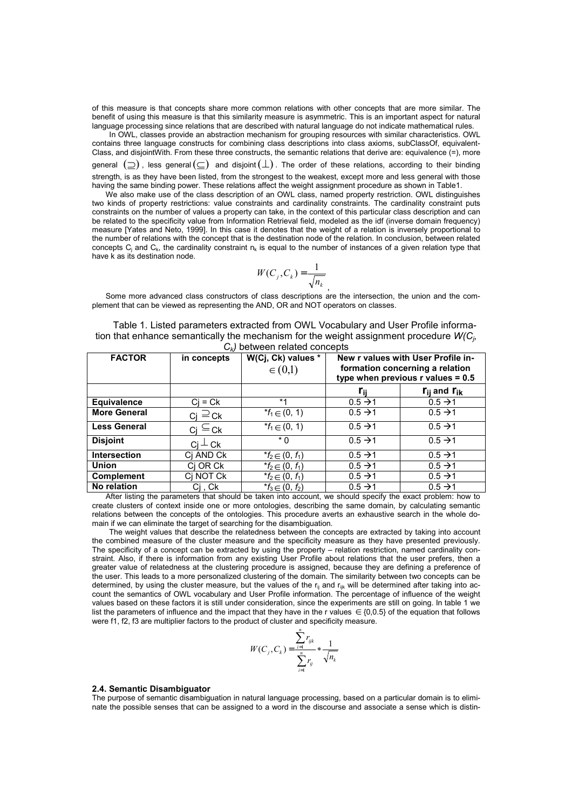of this measure is that concepts share more common relations with other concepts that are more similar. The benefit of using this measure is that this similarity measure is asymmetric. This is an important aspect for natural language processing since relations that are described with natural language do not indicate mathematical rules.

In OWL, classes provide an abstraction mechanism for grouping resources with similar characteristics. OWL contains three language constructs for combining class descriptions into class axioms, subClassOf, equivalent-Class, and disjointWith. From these three constructs, the semantic relations that derive are: equivalence (=), more general  $(\supset)$ , less general  $(\subseteq)$  and disjoint  $(\perp)$ . The order of these relations, according to their binding strength, is as they have been listed, from the strongest to the weakest, except more and less general with those having the same binding power. These relations affect the weight assignment procedure as shown in Table1.

We also make use of the class description of an OWL class, named property restriction. OWL distinguishes two kinds of property restrictions: value constraints and cardinality constraints. The cardinality constraint puts constraints on the number of values a property can take, in the context of this particular class description and can be related to the specificity value from Information Retrieval field, modeled as the idf (inverse domain frequency) measure [Yates and Neto, 1999]. In this case it denotes that the weight of a relation is inversely proportional to the number of relations with the concept that is the destination node of the relation. In conclusion, between related concepts  $C_i$  and  $C_k$ , the cardinality constraint  $n_k$  is equal to the number of instances of a given relation type that have k as its destination node.

$$
W(C_j, C_k) = \frac{1}{\sqrt{n_k}}
$$

,

Some more advanced class constructors of class descriptions are the intersection, the union and the complement that can be viewed as representing the AND, OR and NOT operators on classes.

| Table 1. Listed parameters extracted from OWL Vocabulary and User Profile informa-        |
|-------------------------------------------------------------------------------------------|
| tion that enhance semantically the mechanism for the weight assignment procedure $W(C_i)$ |
| C I hotwoon rolated concente                                                              |

| <b>FACTOR</b>       | in concepts         | W(Cj, Ck) values *                                      | New r values with User Profile in-                                     |                       |
|---------------------|---------------------|---------------------------------------------------------|------------------------------------------------------------------------|-----------------------|
|                     |                     | $\in (0,1)$                                             | formation concerning a relation<br>type when previous $r$ values = 0.5 |                       |
|                     |                     |                                                         | Гij                                                                    | $r_{ii}$ and $r_{ik}$ |
| <b>Equivalence</b>  | $Ci = Ck$           | $*1$                                                    | $0.5 \rightarrow 1$                                                    | $0.5 \rightarrow 1$   |
| <b>More General</b> | $c_j \supseteq c_k$ | $*$ <i>f</i> <sub>1</sub> ∈ (0, 1)                      | $0.5 \rightarrow 1$                                                    | $0.5 \rightarrow 1$   |
| <b>Less General</b> | $ci \subseteq ck$   | $* f_1 \in (0, 1)$                                      | $0.5 \rightarrow 1$                                                    | $0.5 \rightarrow 1$   |
| <b>Disjoint</b>     | $C_1 \perp C_1$     | $*$ 0                                                   | $0.5 \rightarrow 1$                                                    | $0.5 \rightarrow 1$   |
| <b>Intersection</b> | Cj AND Ck           | $*$ f <sub>2</sub> ∈ (0, f <sub>1</sub> )               | $0.5 \rightarrow 1$                                                    | $0.5 \rightarrow 1$   |
| <b>Union</b>        | Ci OR Ck            | $*$ <i>f</i> <sub>2</sub> ∈ (0, <i>f</i> <sub>1</sub> ) | $0.5 \rightarrow 1$                                                    | $0.5 \rightarrow 1$   |
| <b>Complement</b>   | Cj NOT Ck           | * $f_2 \in (0, f_1)$                                    | $0.5 \rightarrow 1$                                                    | $0.5 \rightarrow 1$   |
| No relation         | Cj , Ck             | $f_3 \in (0, f_2)$                                      | $0.5 \rightarrow 1$                                                    | $0.5 \rightarrow 1$   |

After listing the parameters that should be taken into account, we should specify the exact problem: how to create clusters of context inside one or more ontologies, describing the same domain, by calculating semantic relations between the concepts of the ontologies. This procedure averts an exhaustive search in the whole domain if we can eliminate the target of searching for the disambiguation.

The weight values that describe the relatedness between the concepts are extracted by taking into account the combined measure of the cluster measure and the specificity measure as they have presented previously. The specificity of a concept can be extracted by using the property – relation restriction, named cardinality constraint. Also, if there is information from any existing User Profile about relations that the user prefers, then a greater value of relatedness at the clustering procedure is assigned, because they are defining a preference of the user. This leads to a more personalized clustering of the domain. The similarity between two concepts can be determined, by using the cluster measure, but the values of the  $r_{ii}$  and  $r_{ijk}$  will be determined after taking into account the semantics of OWL vocabulary and User Profile information. The percentage of influence of the weight values based on these factors it is still under consideration, since the experiments are still on going. In table 1 we list the parameters of influence and the impact that they have in the r values  $\in \{0,0.5\}$  of the equation that follows were f1, f2, f3 are multiplier factors to the product of cluster and specificity measure.

$$
W(C_j, C_k) = \frac{\sum_{i=1}^{n} r_{ijk}}{\sum_{i=1}^{n} r_{ij}} * \frac{1}{\sqrt{n_k}}
$$

## **2.4. Semantic Disambiguator**

The purpose of semantic disambiguation in natural language processing, based on a particular domain is to eliminate the possible senses that can be assigned to a word in the discourse and associate a sense which is distin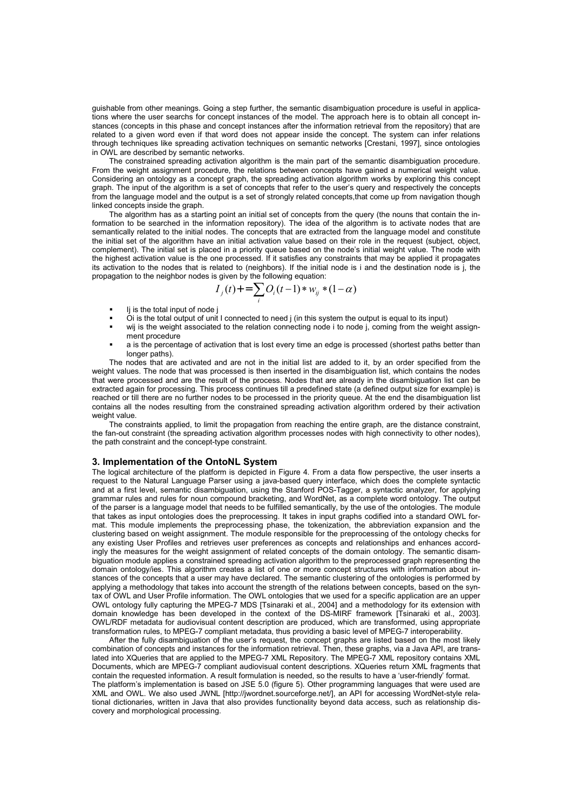guishable from other meanings. Going a step further, the semantic disambiguation procedure is useful in applications where the user searchs for concept instances of the model. The approach here is to obtain all concept instances (concepts in this phase and concept instances after the information retrieval from the repository) that are related to a given word even if that word does not appear inside the concept. The system can infer relations through techniques like spreading activation techniques on semantic networks [Crestani, 1997], since ontologies in OWL are described by semantic networks.

The constrained spreading activation algorithm is the main part of the semantic disambiguation procedure. From the weight assignment procedure, the relations between concepts have gained a numerical weight value. Considering an ontology as a concept graph, the spreading activation algorithm works by exploring this concept graph. The input of the algorithm is a set of concepts that refer to the user's query and respectively the concepts from the language model and the output is a set of strongly related concepts,that come up from navigation though linked concepts inside the graph.

The algorithm has as a starting point an initial set of concepts from the query (the nouns that contain the information to be searched in the information repository). The idea of the algorithm is to activate nodes that are semantically related to the initial nodes. The concepts that are extracted from the language model and constitute the initial set of the algorithm have an initial activation value based on their role in the request (subject, object, complement). The initial set is placed in a priority queue based on the node's initial weight value. The node with the highest activation value is the one processed. If it satisfies any constraints that may be applied it propagates its activation to the nodes that is related to (neighbors). If the initial node is i and the destination node is j, the propagation to the neighbor nodes is given by the following equation:

$$
I_j(t) + \sum_i O_i(t-1) * w_{ij} * (1-\alpha)
$$

- Ij is the total input of node j
- Oi is the total output of unit I connected to need j (in this system the output is equal to its input)
- wij is the weight associated to the relation connecting node i to node i, coming from the weight assignment procedure
- a is the percentage of activation that is lost every time an edge is processed (shortest paths better than longer paths).

The nodes that are activated and are not in the initial list are added to it, by an order specified from the weight values. The node that was processed is then inserted in the disambiguation list, which contains the nodes that were processed and are the result of the process. Nodes that are already in the disambiguation list can be extracted again for processing. This process continues till a predefined state (a defined output size for example) is reached or till there are no further nodes to be processed in the priority queue. At the end the disambiguation list contains all the nodes resulting from the constrained spreading activation algorithm ordered by their activation weight value.

The constraints applied, to limit the propagation from reaching the entire graph, are the distance constraint, the fan-out constraint (the spreading activation algorithm processes nodes with high connectivity to other nodes), the path constraint and the concept-type constraint.

### **3. Implementation of the OntoNL System**

The logical architecture of the platform is depicted in Figure 4. From a data flow perspective, the user inserts a request to the Natural Language Parser using a java-based query interface, which does the complete syntactic and at a first level, semantic disambiguation, using the Stanford POS-Tagger, a syntactic analyzer, for applying grammar rules and rules for noun compound bracketing, and WordNet, as a complete word ontology. The output of the parser is a language model that needs to be fulfilled semantically, by the use of the ontologies. The module that takes as input ontologies does the preprocessing. It takes in input graphs codified into a standard OWL format. This module implements the preprocessing phase, the tokenization, the abbreviation expansion and the clustering based on weight assignment. The module responsible for the preprocessing of the ontology checks for any existing User Profiles and retrieves user preferences as concepts and relationships and enhances accordingly the measures for the weight assignment of related concepts of the domain ontology. The semantic disambiguation module applies a constrained spreading activation algorithm to the preprocessed graph representing the domain ontology/ies. This algorithm creates a list of one or more concept structures with information about instances of the concepts that a user may have declared. The semantic clustering of the ontologies is performed by applying a methodology that takes into account the strength of the relations between concepts, based on the syntax of OWL and User Profile information. The OWL ontologies that we used for a specific application are an upper OWL ontology fully capturing the MPEG-7 MDS [Tsinaraki et al., 2004] and a methodology for its extension with domain knowledge has been developed in the context of the DS-MIRF framework [Tsinaraki et al., 2003]. OWL/RDF metadata for audiovisual content description are produced, which are transformed, using appropriate transformation rules, to MPEG-7 compliant metadata, thus providing a basic level of MPEG-7 interoperability.

After the fully disambiguation of the user's request, the concept graphs are listed based on the most likely combination of concepts and instances for the information retrieval. Then, these graphs, via a Java API, are translated into XQueries that are applied to the MPEG-7 XML Repository. The MPEG-7 XML repository contains XML Documents, which are MPEG-7 compliant audiovisual content descriptions. XQueries return XML fragments that contain the requested information. A result formulation is needed, so the results to have a 'user-friendly' format. The platform's implementation is based on JSE 5.0 (figure 5). Other programming languages that were used are XML and OWL. We also used JWNL [http://jwordnet.sourceforge.net/], an API for accessing WordNet-style relational dictionaries, written in Java that also provides functionality beyond data access, such as relationship discovery and morphological processing.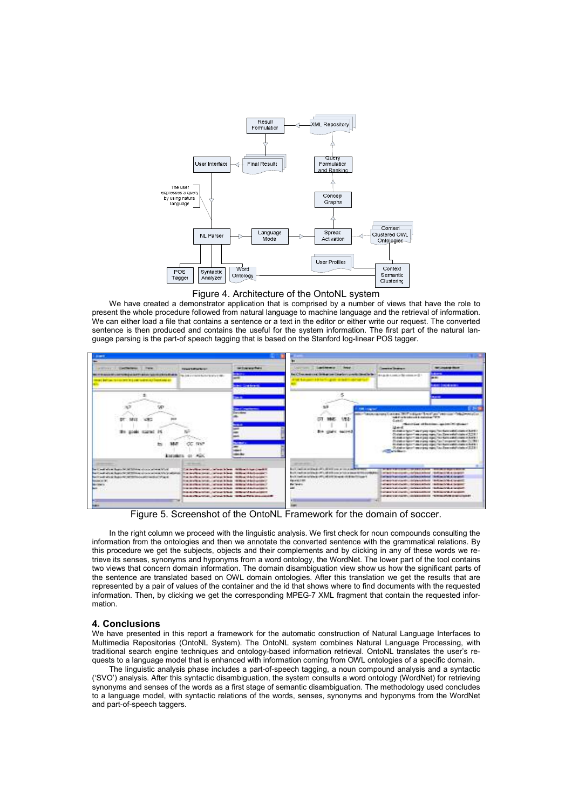



We have created a demonstrator application that is comprised by a number of views that have the role to present the whole procedure followed from natural language to machine language and the retrieval of information. We can either load a file that contains a sentence or a text in the editor or either write our request. The converted sentence is then produced and contains the useful for the system information. The first part of the natural language parsing is the part-of speech tagging that is based on the Stanford log-linear POS tagger.



Figure 5. Screenshot of the OntoNL Framework for the domain of soccer.

In the right column we proceed with the linguistic analysis. We first check for noun compounds consulting the information from the ontologies and then we annotate the converted sentence with the grammatical relations. By this procedure we get the subjects, objects and their complements and by clicking in any of these words we retrieve its senses, synonyms and hyponyms from a word ontology, the WordNet. The lower part of the tool contains two views that concern domain information. The domain disambiguation view show us how the significant parts of the sentence are translated based on OWL domain ontologies. After this translation we get the results that are represented by a pair of values of the container and the id that shows where to find documents with the requested information. Then, by clicking we get the corresponding MPEG-7 XML fragment that contain the requested information.

# **4. Conclusions**

We have presented in this report a framework for the automatic construction of Natural Language Interfaces to Multimedia Repositories (OntoNL System). The OntoNL system combines Natural Language Processing, with traditional search engine techniques and ontology-based information retrieval. OntoNL translates the user's requests to a language model that is enhanced with information coming from OWL ontologies of a specific domain.

The linguistic analysis phase includes a part-of-speech tagging, a noun compound analysis and a syntactic ('SVO') analysis. After this syntactic disambiguation, the system consults a word ontology (WordNet) for retrieving synonyms and senses of the words as a first stage of semantic disambiguation. The methodology used concludes to a language model, with syntactic relations of the words, senses, synonyms and hyponyms from the WordNet and part-of-speech taggers.